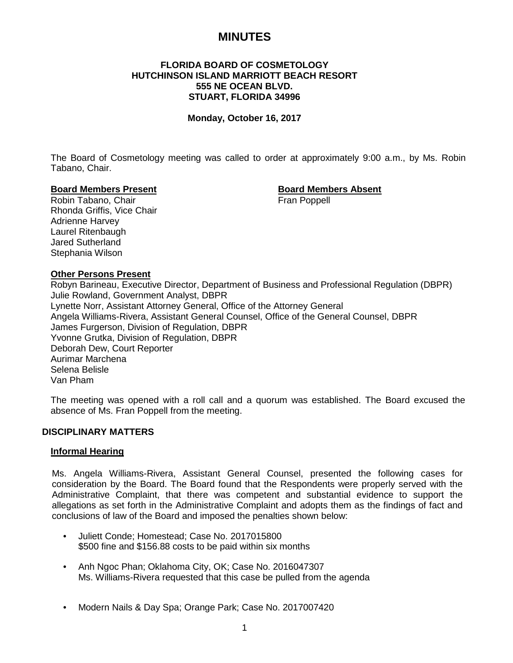# **MINUTES**

# **FLORIDA BOARD OF COSMETOLOGY HUTCHINSON ISLAND MARRIOTT BEACH RESORT 555 NE OCEAN BLVD. STUART, FLORIDA 34996**

#### **Monday, October 16, 2017**

The Board of Cosmetology meeting was called to order at approximately 9:00 a.m., by Ms. Robin Tabano, Chair.

#### **Board Members Present Board Members Absent**

Robin Tabano, Chair Fran Poppell Eran Poppell Rhonda Griffis, Vice Chair Adrienne Harvey Laurel Ritenbaugh Jared Sutherland Stephania Wilson

#### **Other Persons Present**

Robyn Barineau, Executive Director, Department of Business and Professional Regulation (DBPR) Julie Rowland, Government Analyst, DBPR Lynette Norr, Assistant Attorney General, Office of the Attorney General Angela Williams-Rivera, Assistant General Counsel, Office of the General Counsel, DBPR James Furgerson, Division of Regulation, DBPR Yvonne Grutka, Division of Regulation, DBPR Deborah Dew, Court Reporter Aurimar Marchena Selena Belisle Van Pham

The meeting was opened with a roll call and a quorum was established. The Board excused the absence of Ms. Fran Poppell from the meeting.

# **DISCIPLINARY MATTERS**

#### **Informal Hearing**

Ms. Angela Williams-Rivera, Assistant General Counsel, presented the following cases for consideration by the Board. The Board found that the Respondents were properly served with the Administrative Complaint, that there was competent and substantial evidence to support the allegations as set forth in the Administrative Complaint and adopts them as the findings of fact and conclusions of law of the Board and imposed the penalties shown below:

- Juliett Conde; Homestead; Case No. 2017015800 \$500 fine and \$156.88 costs to be paid within six months
- Anh Ngoc Phan; Oklahoma City, OK; Case No. 2016047307 Ms. Williams-Rivera requested that this case be pulled from the agenda
- Modern Nails & Day Spa; Orange Park; Case No. 2017007420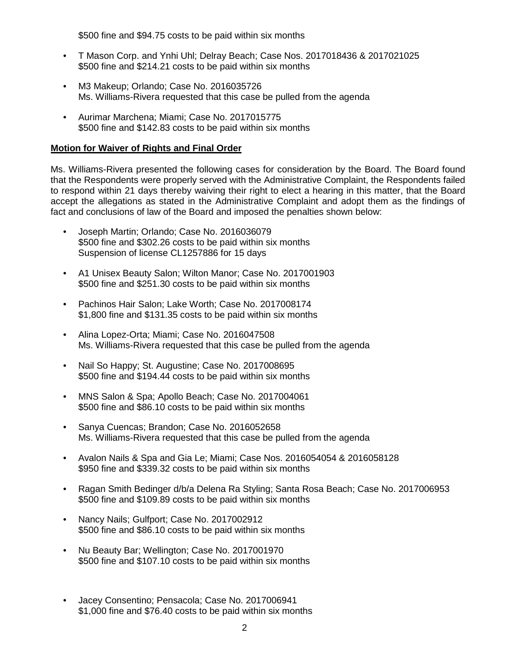\$500 fine and \$94.75 costs to be paid within six months

- T Mason Corp. and Ynhi Uhl; Delray Beach; Case Nos. 2017018436 & 2017021025 \$500 fine and \$214.21 costs to be paid within six months
- M3 Makeup; Orlando; Case No. 2016035726 Ms. Williams-Rivera requested that this case be pulled from the agenda
- Aurimar Marchena; Miami; Case No. 2017015775 \$500 fine and \$142.83 costs to be paid within six months

# **Motion for Waiver of Rights and Final Order**

Ms. Williams-Rivera presented the following cases for consideration by the Board. The Board found that the Respondents were properly served with the Administrative Complaint, the Respondents failed to respond within 21 days thereby waiving their right to elect a hearing in this matter, that the Board accept the allegations as stated in the Administrative Complaint and adopt them as the findings of fact and conclusions of law of the Board and imposed the penalties shown below:

- Joseph Martin; Orlando; Case No. 2016036079 \$500 fine and \$302.26 costs to be paid within six months Suspension of license CL1257886 for 15 days
- A1 Unisex Beauty Salon; Wilton Manor; Case No. 2017001903 \$500 fine and \$251.30 costs to be paid within six months
- Pachinos Hair Salon; Lake Worth; Case No. 2017008174 \$1,800 fine and \$131.35 costs to be paid within six months
- Alina Lopez-Orta; Miami; Case No. 2016047508 Ms. Williams-Rivera requested that this case be pulled from the agenda
- Nail So Happy; St. Augustine; Case No. 2017008695 \$500 fine and \$194.44 costs to be paid within six months
- MNS Salon & Spa; Apollo Beach; Case No. 2017004061 \$500 fine and \$86.10 costs to be paid within six months
- Sanya Cuencas; Brandon; Case No. 2016052658 Ms. Williams-Rivera requested that this case be pulled from the agenda
- Avalon Nails & Spa and Gia Le; Miami; Case Nos. 2016054054 & 2016058128 \$950 fine and \$339.32 costs to be paid within six months
- Ragan Smith Bedinger d/b/a Delena Ra Styling; Santa Rosa Beach; Case No. 2017006953 \$500 fine and \$109.89 costs to be paid within six months
- Nancy Nails; Gulfport; Case No. 2017002912 \$500 fine and \$86.10 costs to be paid within six months
- Nu Beauty Bar; Wellington; Case No. 2017001970 \$500 fine and \$107.10 costs to be paid within six months
- Jacey Consentino; Pensacola; Case No. 2017006941 \$1,000 fine and \$76.40 costs to be paid within six months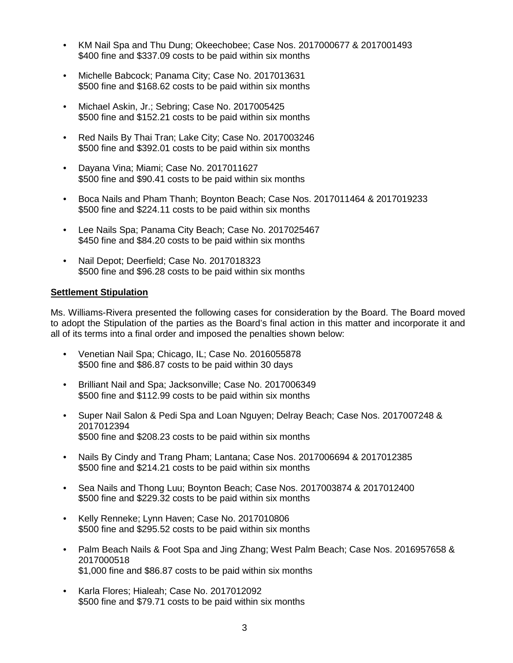- KM Nail Spa and Thu Dung; Okeechobee; Case Nos. 2017000677 & 2017001493 \$400 fine and \$337.09 costs to be paid within six months
- Michelle Babcock; Panama City; Case No. 2017013631 \$500 fine and \$168.62 costs to be paid within six months
- Michael Askin, Jr.; Sebring; Case No. 2017005425 \$500 fine and \$152.21 costs to be paid within six months
- Red Nails By Thai Tran; Lake City; Case No. 2017003246 \$500 fine and \$392.01 costs to be paid within six months
- Dayana Vina; Miami; Case No. 2017011627 \$500 fine and \$90.41 costs to be paid within six months
- Boca Nails and Pham Thanh; Boynton Beach; Case Nos. 2017011464 & 2017019233 \$500 fine and \$224.11 costs to be paid within six months
- Lee Nails Spa; Panama City Beach; Case No. 2017025467 \$450 fine and \$84.20 costs to be paid within six months
- Nail Depot; Deerfield; Case No. 2017018323 \$500 fine and \$96.28 costs to be paid within six months

# **Settlement Stipulation**

Ms. Williams-Rivera presented the following cases for consideration by the Board. The Board moved to adopt the Stipulation of the parties as the Board's final action in this matter and incorporate it and all of its terms into a final order and imposed the penalties shown below:

- Venetian Nail Spa; Chicago, IL; Case No. 2016055878 \$500 fine and \$86.87 costs to be paid within 30 days
- Brilliant Nail and Spa; Jacksonville; Case No. 2017006349 \$500 fine and \$112.99 costs to be paid within six months
- Super Nail Salon & Pedi Spa and Loan Nguyen; Delray Beach; Case Nos. 2017007248 & 2017012394 \$500 fine and \$208.23 costs to be paid within six months
- Nails By Cindy and Trang Pham; Lantana; Case Nos. 2017006694 & 2017012385 \$500 fine and \$214.21 costs to be paid within six months
- Sea Nails and Thong Luu; Boynton Beach; Case Nos. 2017003874 & 2017012400 \$500 fine and \$229.32 costs to be paid within six months
- Kelly Renneke; Lynn Haven; Case No. 2017010806 \$500 fine and \$295.52 costs to be paid within six months
- Palm Beach Nails & Foot Spa and Jing Zhang; West Palm Beach; Case Nos. 2016957658 & 2017000518 \$1,000 fine and \$86.87 costs to be paid within six months
- Karla Flores; Hialeah; Case No. 2017012092 \$500 fine and \$79.71 costs to be paid within six months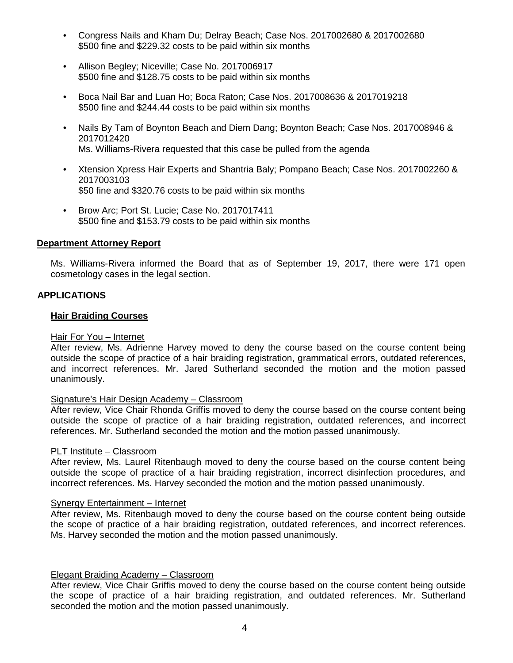- Congress Nails and Kham Du; Delray Beach; Case Nos. 2017002680 & 2017002680 \$500 fine and \$229.32 costs to be paid within six months
- Allison Begley; Niceville; Case No. 2017006917 \$500 fine and \$128.75 costs to be paid within six months
- Boca Nail Bar and Luan Ho; Boca Raton; Case Nos. 2017008636 & 2017019218 \$500 fine and \$244.44 costs to be paid within six months
- Nails By Tam of Boynton Beach and Diem Dang; Boynton Beach; Case Nos. 2017008946 & 2017012420 Ms. Williams-Rivera requested that this case be pulled from the agenda
- Xtension Xpress Hair Experts and Shantria Baly; Pompano Beach; Case Nos. 2017002260 & 2017003103 \$50 fine and \$320.76 costs to be paid within six months
- Brow Arc; Port St. Lucie; Case No. 2017017411 \$500 fine and \$153.79 costs to be paid within six months

# **Department Attorney Report**

Ms. Williams-Rivera informed the Board that as of September 19, 2017, there were 171 open cosmetology cases in the legal section.

# **APPLICATIONS**

#### **Hair Braiding Courses**

#### Hair For You – Internet

After review, Ms. Adrienne Harvey moved to deny the course based on the course content being outside the scope of practice of a hair braiding registration, grammatical errors, outdated references, and incorrect references. Mr. Jared Sutherland seconded the motion and the motion passed unanimously.

#### Signature's Hair Design Academy – Classroom

After review, Vice Chair Rhonda Griffis moved to deny the course based on the course content being outside the scope of practice of a hair braiding registration, outdated references, and incorrect references. Mr. Sutherland seconded the motion and the motion passed unanimously.

#### PLT Institute – Classroom

After review, Ms. Laurel Ritenbaugh moved to deny the course based on the course content being outside the scope of practice of a hair braiding registration, incorrect disinfection procedures, and incorrect references. Ms. Harvey seconded the motion and the motion passed unanimously.

# Synergy Entertainment – Internet

After review, Ms. Ritenbaugh moved to deny the course based on the course content being outside the scope of practice of a hair braiding registration, outdated references, and incorrect references. Ms. Harvey seconded the motion and the motion passed unanimously.

#### Elegant Braiding Academy – Classroom

After review, Vice Chair Griffis moved to deny the course based on the course content being outside the scope of practice of a hair braiding registration, and outdated references. Mr. Sutherland seconded the motion and the motion passed unanimously.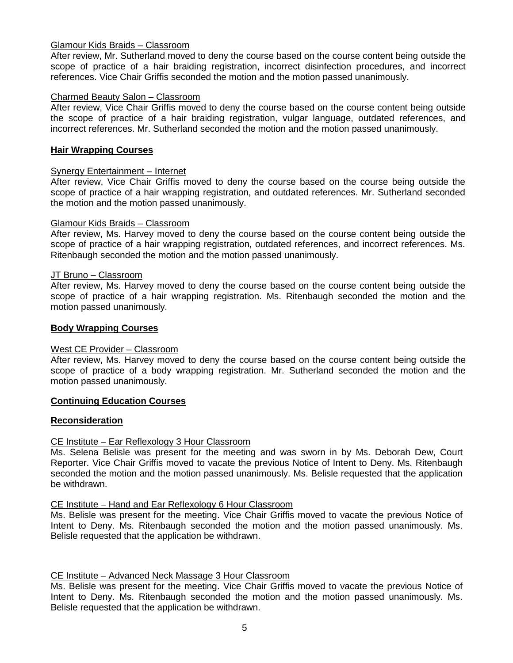# Glamour Kids Braids – Classroom

After review, Mr. Sutherland moved to deny the course based on the course content being outside the scope of practice of a hair braiding registration, incorrect disinfection procedures, and incorrect references. Vice Chair Griffis seconded the motion and the motion passed unanimously.

#### Charmed Beauty Salon – Classroom

After review, Vice Chair Griffis moved to deny the course based on the course content being outside the scope of practice of a hair braiding registration, vulgar language, outdated references, and incorrect references. Mr. Sutherland seconded the motion and the motion passed unanimously.

#### **Hair Wrapping Courses**

#### Synergy Entertainment – Internet

After review, Vice Chair Griffis moved to deny the course based on the course being outside the scope of practice of a hair wrapping registration, and outdated references. Mr. Sutherland seconded the motion and the motion passed unanimously.

#### Glamour Kids Braids – Classroom

After review, Ms. Harvey moved to deny the course based on the course content being outside the scope of practice of a hair wrapping registration, outdated references, and incorrect references. Ms. Ritenbaugh seconded the motion and the motion passed unanimously.

#### JT Bruno – Classroom

After review, Ms. Harvey moved to deny the course based on the course content being outside the scope of practice of a hair wrapping registration. Ms. Ritenbaugh seconded the motion and the motion passed unanimously.

#### **Body Wrapping Courses**

#### West CE Provider – Classroom

After review, Ms. Harvey moved to deny the course based on the course content being outside the scope of practice of a body wrapping registration. Mr. Sutherland seconded the motion and the motion passed unanimously.

#### **Continuing Education Courses**

#### **Reconsideration**

#### CE Institute – Ear Reflexology 3 Hour Classroom

Ms. Selena Belisle was present for the meeting and was sworn in by Ms. Deborah Dew, Court Reporter. Vice Chair Griffis moved to vacate the previous Notice of Intent to Deny. Ms. Ritenbaugh seconded the motion and the motion passed unanimously. Ms. Belisle requested that the application be withdrawn.

#### CE Institute – Hand and Ear Reflexology 6 Hour Classroom

Ms. Belisle was present for the meeting. Vice Chair Griffis moved to vacate the previous Notice of Intent to Deny. Ms. Ritenbaugh seconded the motion and the motion passed unanimously. Ms. Belisle requested that the application be withdrawn.

#### CE Institute – Advanced Neck Massage 3 Hour Classroom

Ms. Belisle was present for the meeting. Vice Chair Griffis moved to vacate the previous Notice of Intent to Deny. Ms. Ritenbaugh seconded the motion and the motion passed unanimously. Ms. Belisle requested that the application be withdrawn.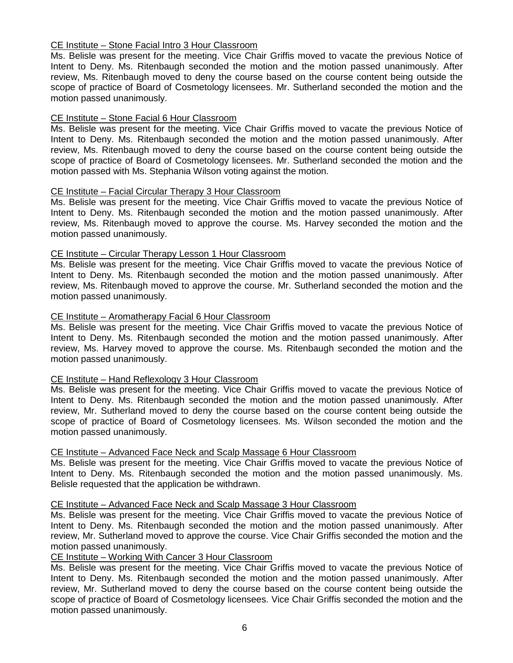# CE Institute – Stone Facial Intro 3 Hour Classroom

Ms. Belisle was present for the meeting. Vice Chair Griffis moved to vacate the previous Notice of Intent to Deny. Ms. Ritenbaugh seconded the motion and the motion passed unanimously. After review, Ms. Ritenbaugh moved to deny the course based on the course content being outside the scope of practice of Board of Cosmetology licensees. Mr. Sutherland seconded the motion and the motion passed unanimously.

# CE Institute – Stone Facial 6 Hour Classroom

Ms. Belisle was present for the meeting. Vice Chair Griffis moved to vacate the previous Notice of Intent to Deny. Ms. Ritenbaugh seconded the motion and the motion passed unanimously. After review, Ms. Ritenbaugh moved to deny the course based on the course content being outside the scope of practice of Board of Cosmetology licensees. Mr. Sutherland seconded the motion and the motion passed with Ms. Stephania Wilson voting against the motion.

# CE Institute – Facial Circular Therapy 3 Hour Classroom

Ms. Belisle was present for the meeting. Vice Chair Griffis moved to vacate the previous Notice of Intent to Deny. Ms. Ritenbaugh seconded the motion and the motion passed unanimously. After review, Ms. Ritenbaugh moved to approve the course. Ms. Harvey seconded the motion and the motion passed unanimously.

# CE Institute – Circular Therapy Lesson 1 Hour Classroom

Ms. Belisle was present for the meeting. Vice Chair Griffis moved to vacate the previous Notice of Intent to Deny. Ms. Ritenbaugh seconded the motion and the motion passed unanimously. After review, Ms. Ritenbaugh moved to approve the course. Mr. Sutherland seconded the motion and the motion passed unanimously.

# CE Institute – Aromatherapy Facial 6 Hour Classroom

Ms. Belisle was present for the meeting. Vice Chair Griffis moved to vacate the previous Notice of Intent to Deny. Ms. Ritenbaugh seconded the motion and the motion passed unanimously. After review, Ms. Harvey moved to approve the course. Ms. Ritenbaugh seconded the motion and the motion passed unanimously.

# CE Institute – Hand Reflexology 3 Hour Classroom

Ms. Belisle was present for the meeting. Vice Chair Griffis moved to vacate the previous Notice of Intent to Deny. Ms. Ritenbaugh seconded the motion and the motion passed unanimously. After review, Mr. Sutherland moved to deny the course based on the course content being outside the scope of practice of Board of Cosmetology licensees. Ms. Wilson seconded the motion and the motion passed unanimously.

# CE Institute – Advanced Face Neck and Scalp Massage 6 Hour Classroom

Ms. Belisle was present for the meeting. Vice Chair Griffis moved to vacate the previous Notice of Intent to Deny. Ms. Ritenbaugh seconded the motion and the motion passed unanimously. Ms. Belisle requested that the application be withdrawn.

#### CE Institute – Advanced Face Neck and Scalp Massage 3 Hour Classroom

Ms. Belisle was present for the meeting. Vice Chair Griffis moved to vacate the previous Notice of Intent to Deny. Ms. Ritenbaugh seconded the motion and the motion passed unanimously. After review, Mr. Sutherland moved to approve the course. Vice Chair Griffis seconded the motion and the motion passed unanimously.

# CE Institute – Working With Cancer 3 Hour Classroom

Ms. Belisle was present for the meeting. Vice Chair Griffis moved to vacate the previous Notice of Intent to Deny. Ms. Ritenbaugh seconded the motion and the motion passed unanimously. After review, Mr. Sutherland moved to deny the course based on the course content being outside the scope of practice of Board of Cosmetology licensees. Vice Chair Griffis seconded the motion and the motion passed unanimously.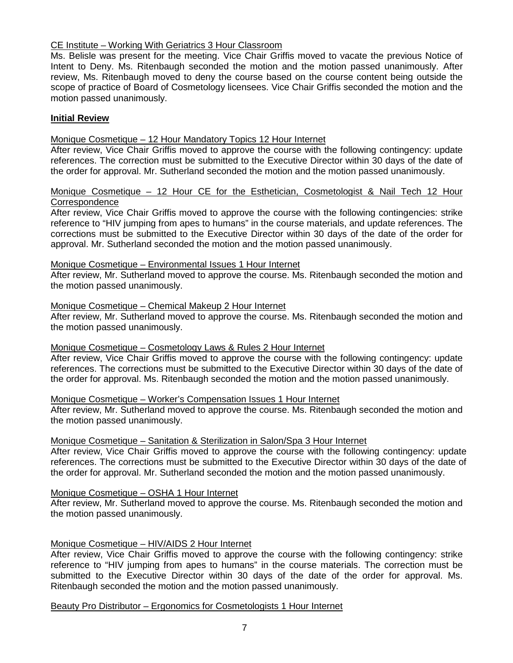# CE Institute – Working With Geriatrics 3 Hour Classroom

Ms. Belisle was present for the meeting. Vice Chair Griffis moved to vacate the previous Notice of Intent to Deny. Ms. Ritenbaugh seconded the motion and the motion passed unanimously. After review, Ms. Ritenbaugh moved to deny the course based on the course content being outside the scope of practice of Board of Cosmetology licensees. Vice Chair Griffis seconded the motion and the motion passed unanimously.

# **Initial Review**

# Monique Cosmetique – 12 Hour Mandatory Topics 12 Hour Internet

After review, Vice Chair Griffis moved to approve the course with the following contingency: update references. The correction must be submitted to the Executive Director within 30 days of the date of the order for approval. Mr. Sutherland seconded the motion and the motion passed unanimously.

#### Monique Cosmetique – 12 Hour CE for the Esthetician, Cosmetologist & Nail Tech 12 Hour **Correspondence**

After review, Vice Chair Griffis moved to approve the course with the following contingencies: strike reference to "HIV jumping from apes to humans" in the course materials, and update references. The corrections must be submitted to the Executive Director within 30 days of the date of the order for approval. Mr. Sutherland seconded the motion and the motion passed unanimously.

#### Monique Cosmetique – Environmental Issues 1 Hour Internet

After review, Mr. Sutherland moved to approve the course. Ms. Ritenbaugh seconded the motion and the motion passed unanimously.

#### Monique Cosmetique – Chemical Makeup 2 Hour Internet

After review, Mr. Sutherland moved to approve the course. Ms. Ritenbaugh seconded the motion and the motion passed unanimously.

#### Monique Cosmetique – Cosmetology Laws & Rules 2 Hour Internet

After review, Vice Chair Griffis moved to approve the course with the following contingency: update references. The corrections must be submitted to the Executive Director within 30 days of the date of the order for approval. Ms. Ritenbaugh seconded the motion and the motion passed unanimously.

#### Monique Cosmetique – Worker's Compensation Issues 1 Hour Internet

After review, Mr. Sutherland moved to approve the course. Ms. Ritenbaugh seconded the motion and the motion passed unanimously.

#### Monique Cosmetique – Sanitation & Sterilization in Salon/Spa 3 Hour Internet

After review, Vice Chair Griffis moved to approve the course with the following contingency: update references. The corrections must be submitted to the Executive Director within 30 days of the date of the order for approval. Mr. Sutherland seconded the motion and the motion passed unanimously.

#### Monique Cosmetique – OSHA 1 Hour Internet

After review, Mr. Sutherland moved to approve the course. Ms. Ritenbaugh seconded the motion and the motion passed unanimously.

# Monique Cosmetique – HIV/AIDS 2 Hour Internet

After review, Vice Chair Griffis moved to approve the course with the following contingency: strike reference to "HIV jumping from apes to humans" in the course materials. The correction must be submitted to the Executive Director within 30 days of the date of the order for approval. Ms. Ritenbaugh seconded the motion and the motion passed unanimously.

Beauty Pro Distributor – Ergonomics for Cosmetologists 1 Hour Internet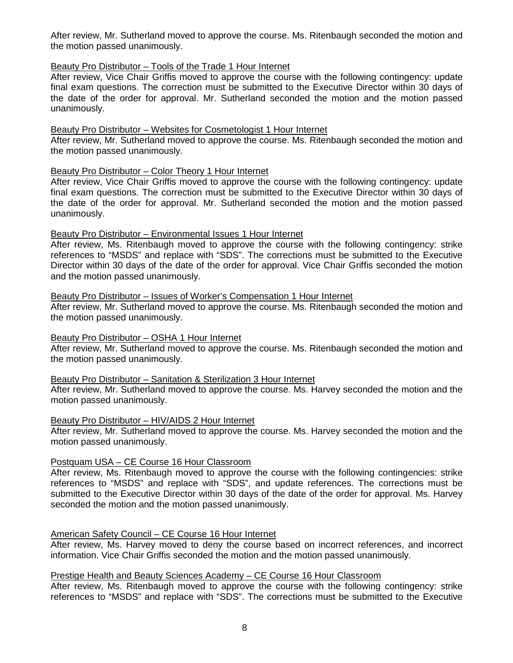After review, Mr. Sutherland moved to approve the course. Ms. Ritenbaugh seconded the motion and the motion passed unanimously.

# Beauty Pro Distributor – Tools of the Trade 1 Hour Internet

After review, Vice Chair Griffis moved to approve the course with the following contingency: update final exam questions. The correction must be submitted to the Executive Director within 30 days of the date of the order for approval. Mr. Sutherland seconded the motion and the motion passed unanimously.

#### Beauty Pro Distributor – Websites for Cosmetologist 1 Hour Internet

After review, Mr. Sutherland moved to approve the course. Ms. Ritenbaugh seconded the motion and the motion passed unanimously.

# Beauty Pro Distributor – Color Theory 1 Hour Internet

After review, Vice Chair Griffis moved to approve the course with the following contingency: update final exam questions. The correction must be submitted to the Executive Director within 30 days of the date of the order for approval. Mr. Sutherland seconded the motion and the motion passed unanimously.

#### Beauty Pro Distributor – Environmental Issues 1 Hour Internet

After review, Ms. Ritenbaugh moved to approve the course with the following contingency: strike references to "MSDS" and replace with "SDS". The corrections must be submitted to the Executive Director within 30 days of the date of the order for approval. Vice Chair Griffis seconded the motion and the motion passed unanimously.

# Beauty Pro Distributor – Issues of Worker's Compensation 1 Hour Internet

After review, Mr. Sutherland moved to approve the course. Ms. Ritenbaugh seconded the motion and the motion passed unanimously.

#### Beauty Pro Distributor – OSHA 1 Hour Internet

After review, Mr. Sutherland moved to approve the course. Ms. Ritenbaugh seconded the motion and the motion passed unanimously.

#### Beauty Pro Distributor – Sanitation & Sterilization 3 Hour Internet

After review, Mr. Sutherland moved to approve the course. Ms. Harvey seconded the motion and the motion passed unanimously.

#### Beauty Pro Distributor – HIV/AIDS 2 Hour Internet

After review, Mr. Sutherland moved to approve the course. Ms. Harvey seconded the motion and the motion passed unanimously.

#### Postquam USA – CE Course 16 Hour Classroom

After review, Ms. Ritenbaugh moved to approve the course with the following contingencies: strike references to "MSDS" and replace with "SDS", and update references. The corrections must be submitted to the Executive Director within 30 days of the date of the order for approval. Ms. Harvey seconded the motion and the motion passed unanimously.

# American Safety Council – CE Course 16 Hour Internet

After review, Ms. Harvey moved to deny the course based on incorrect references, and incorrect information. Vice Chair Griffis seconded the motion and the motion passed unanimously.

# Prestige Health and Beauty Sciences Academy – CE Course 16 Hour Classroom

After review, Ms. Ritenbaugh moved to approve the course with the following contingency: strike references to "MSDS" and replace with "SDS". The corrections must be submitted to the Executive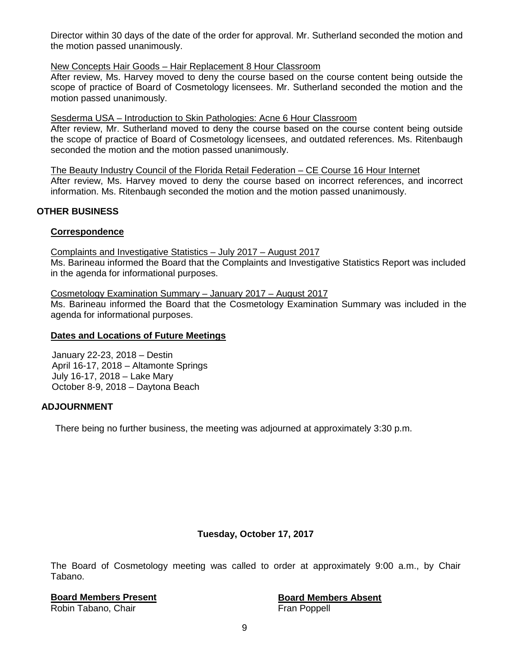Director within 30 days of the date of the order for approval. Mr. Sutherland seconded the motion and the motion passed unanimously.

# New Concepts Hair Goods – Hair Replacement 8 Hour Classroom

After review, Ms. Harvey moved to deny the course based on the course content being outside the scope of practice of Board of Cosmetology licensees. Mr. Sutherland seconded the motion and the motion passed unanimously.

#### Sesderma USA – Introduction to Skin Pathologies: Acne 6 Hour Classroom

After review, Mr. Sutherland moved to deny the course based on the course content being outside the scope of practice of Board of Cosmetology licensees, and outdated references. Ms. Ritenbaugh seconded the motion and the motion passed unanimously.

The Beauty Industry Council of the Florida Retail Federation – CE Course 16 Hour Internet After review, Ms. Harvey moved to deny the course based on incorrect references, and incorrect information. Ms. Ritenbaugh seconded the motion and the motion passed unanimously.

# **OTHER BUSINESS**

# **Correspondence**

Complaints and Investigative Statistics – July 2017 – August 2017 Ms. Barineau informed the Board that the Complaints and Investigative Statistics Report was included in the agenda for informational purposes.

Cosmetology Examination Summary – January 2017 – August 2017

Ms. Barineau informed the Board that the Cosmetology Examination Summary was included in the agenda for informational purposes.

#### **Dates and Locations of Future Meetings**

January 22-23, 2018 – Destin April 16-17, 2018 – Altamonte Springs July 16-17, 2018 – Lake Mary October 8-9, 2018 – Daytona Beach

# **ADJOURNMENT**

There being no further business, the meeting was adjourned at approximately 3:30 p.m.

# **Tuesday, October 17, 2017**

The Board of Cosmetology meeting was called to order at approximately 9:00 a.m., by Chair Tabano.

# **Board Members Present**<br> **Robin Tabano, Chair**<br> **Board Members Absent**<br> **Board Members Absent**<br> **Board Members Absent**

Robin Tabano, Chair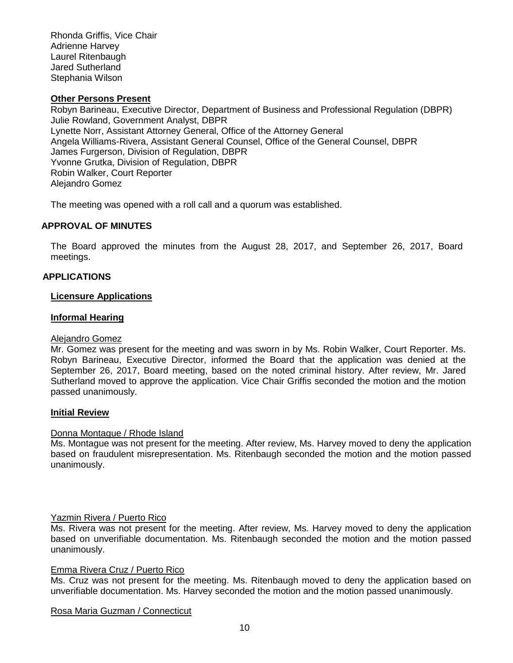Rhonda Griffis, Vice Chair Adrienne Harvey Laurel Ritenbaugh Jared Sutherland Stephania Wilson

# **Other Persons Present**

Robyn Barineau, Executive Director, Department of Business and Professional Regulation (DBPR) Julie Rowland, Government Analyst, DBPR Lynette Norr, Assistant Attorney General, Office of the Attorney General Angela Williams-Rivera, Assistant General Counsel, Office of the General Counsel, DBPR James Furgerson, Division of Regulation, DBPR Yvonne Grutka, Division of Regulation, DBPR Robin Walker, Court Reporter Alejandro Gomez

The meeting was opened with a roll call and a quorum was established.

# **APPROVAL OF MINUTES**

The Board approved the minutes from the August 28, 2017, and September 26, 2017, Board meetings.

# **APPLICATIONS**

#### **Licensure Applications**

#### **Informal Hearing**

#### Alejandro Gomez

Mr. Gomez was present for the meeting and was sworn in by Ms. Robin Walker, Court Reporter. Ms. Robyn Barineau, Executive Director, informed the Board that the application was denied at the September 26, 2017, Board meeting, based on the noted criminal history. After review, Mr. Jared Sutherland moved to approve the application. Vice Chair Griffis seconded the motion and the motion passed unanimously.

#### **Initial Review**

#### Donna Montague / Rhode Island

Ms. Montague was not present for the meeting. After review, Ms. Harvey moved to deny the application based on fraudulent misrepresentation. Ms. Ritenbaugh seconded the motion and the motion passed unanimously.

#### Yazmin Rivera / Puerto Rico

Ms. Rivera was not present for the meeting. After review, Ms. Harvey moved to deny the application based on unverifiable documentation. Ms. Ritenbaugh seconded the motion and the motion passed unanimously.

#### Emma Rivera Cruz / Puerto Rico

Ms. Cruz was not present for the meeting. Ms. Ritenbaugh moved to deny the application based on unverifiable documentation. Ms. Harvey seconded the motion and the motion passed unanimously.

Rosa Maria Guzman / Connecticut